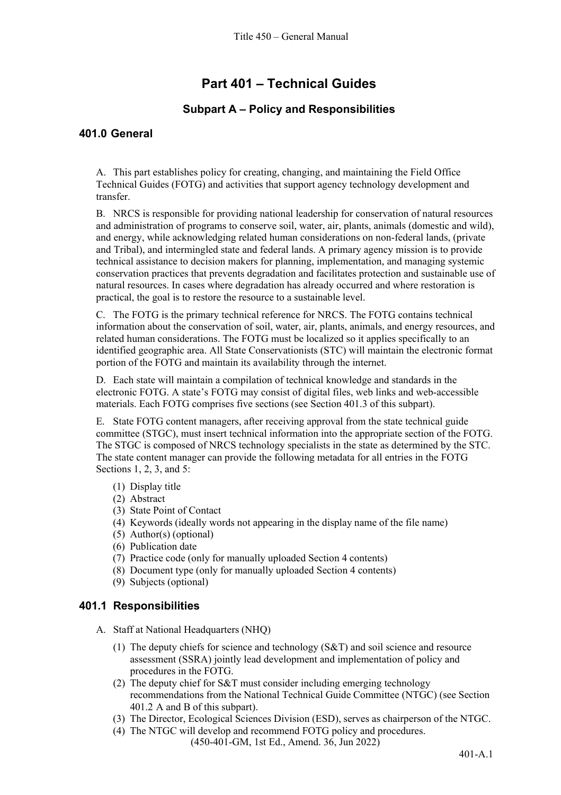# **Part 401 – Technical Guides**

# **Subpart A – Policy and Responsibilities**

### **401.0 General**

A. This part establishes policy for creating, changing, and maintaining the Field Office Technical Guides (FOTG) and activities that support agency technology development and transfer.

B. NRCS is responsible for providing national leadership for conservation of natural resources and administration of programs to conserve soil, water, air, plants, animals (domestic and wild), and energy, while acknowledging related human considerations on non-federal lands, (private and Tribal), and intermingled state and federal lands. A primary agency mission is to provide technical assistance to decision makers for planning, implementation, and managing systemic conservation practices that prevents degradation and facilitates protection and sustainable use of natural resources. In cases where degradation has already occurred and where restoration is practical, the goal is to restore the resource to a sustainable level.

C. The FOTG is the primary technical reference for NRCS. The FOTG contains technical information about the conservation of soil, water, air, plants, animals, and energy resources, and related human considerations. The FOTG must be localized so it applies specifically to an identified geographic area. All State Conservationists (STC) will maintain the electronic format portion of the FOTG and maintain its availability through the internet.

D. Each state will maintain a compilation of technical knowledge and standards in the electronic FOTG. A state's FOTG may consist of digital files, web links and web-accessible materials. Each FOTG comprises five sections (see Section 401.3 of this subpart).

E. State FOTG content managers, after receiving approval from the state technical guide committee (STGC), must insert technical information into the appropriate section of the FOTG. The STGC is composed of NRCS technology specialists in the state as determined by the STC. The state content manager can provide the following metadata for all entries in the FOTG Sections 1, 2, 3, and 5:

- (1) Display title
- (2) Abstract
- (3) State Point of Contact
- (4) Keywords (ideally words not appearing in the display name of the file name)
- (5) Author(s) (optional)
- (6) Publication date
- (7) Practice code (only for manually uploaded Section 4 contents)
- (8) Document type (only for manually uploaded Section 4 contents)
- (9) Subjects (optional)

### **401.1 Responsibilities**

- A. Staff at National Headquarters (NHQ)
	- (1) The deputy chiefs for science and technology (S&T) and soil science and resource assessment (SSRA) jointly lead development and implementation of policy and procedures in the FOTG.
	- (2) The deputy chief for S&T must consider including emerging technology recommendations from the National Technical Guide Committee (NTGC) (see Section 401.2 A and B of this subpart).
	- (3) The Director, Ecological Sciences Division (ESD), serves as chairperson of the NTGC.
	- (450-401-GM, 1st Ed., Amend. 36, Jun 2022) (4) The NTGC will develop and recommend FOTG policy and procedures.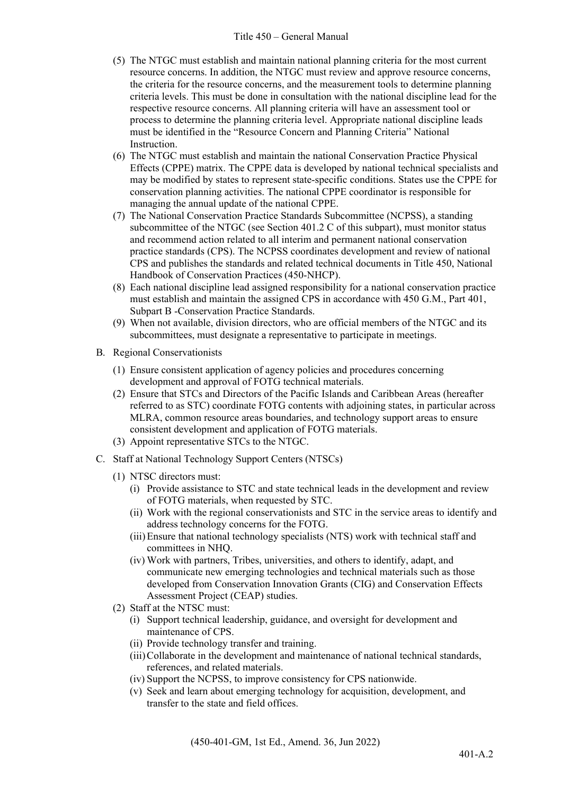#### Title 450 – General Manual

- (5) The NTGC must establish and maintain national planning criteria for the most current resource concerns. In addition, the NTGC must review and approve resource concerns, the criteria for the resource concerns, and the measurement tools to determine planning criteria levels. This must be done in consultation with the national discipline lead for the respective resource concerns. All planning criteria will have an assessment tool or process to determine the planning criteria level. Appropriate national discipline leads must be identified in the "Resource Concern and Planning Criteria" National Instruction.
- (6) The NTGC must establish and maintain the national Conservation Practice Physical Effects (CPPE) matrix. The CPPE data is developed by national technical specialists and may be modified by states to represent state-specific conditions. States use the CPPE for conservation planning activities. The national CPPE coordinator is responsible for managing the annual update of the national CPPE.
- (7) The National Conservation Practice Standards Subcommittee (NCPSS), a standing subcommittee of the NTGC (see Section 401.2 C of this subpart), must monitor status and recommend action related to all interim and permanent national conservation practice standards (CPS). The NCPSS coordinates development and review of national CPS and publishes the standards and related technical documents in Title 450, National Handbook of Conservation Practices (450-NHCP).
- (8) Each national discipline lead assigned responsibility for a national conservation practice must establish and maintain the assigned CPS in accordance with 450 G.M., Part 401, Subpart B -Conservation Practice Standards.
- (9) When not available, division directors, who are official members of the NTGC and its subcommittees, must designate a representative to participate in meetings.
- B. Regional Conservationists
	- (1) Ensure consistent application of agency policies and procedures concerning development and approval of FOTG technical materials.
	- (2) Ensure that STCs and Directors of the Pacific Islands and Caribbean Areas (hereafter referred to as STC) coordinate FOTG contents with adjoining states, in particular across MLRA, common resource areas boundaries, and technology support areas to ensure consistent development and application of FOTG materials.
	- (3) Appoint representative STCs to the NTGC.
- C. Staff at National Technology Support Centers (NTSCs)
	- (1) NTSC directors must:
		- (i) Provide assistance to STC and state technical leads in the development and review of FOTG materials, when requested by STC.
		- (ii) Work with the regional conservationists and STC in the service areas to identify and address technology concerns for the FOTG.
		- (iii)Ensure that national technology specialists (NTS) work with technical staff and committees in NHQ.
		- (iv) Work with partners, Tribes, universities, and others to identify, adapt, and communicate new emerging technologies and technical materials such as those developed from Conservation Innovation Grants (CIG) and Conservation Effects Assessment Project (CEAP) studies.
	- (2) Staff at the NTSC must:
		- (i) Support technical leadership, guidance, and oversight for development and maintenance of CPS.
		- (ii) Provide technology transfer and training.
		- (iii)Collaborate in the development and maintenance of national technical standards, references, and related materials.
		- (iv) Support the NCPSS, to improve consistency for CPS nationwide.
		- (v) Seek and learn about emerging technology for acquisition, development, and transfer to the state and field offices.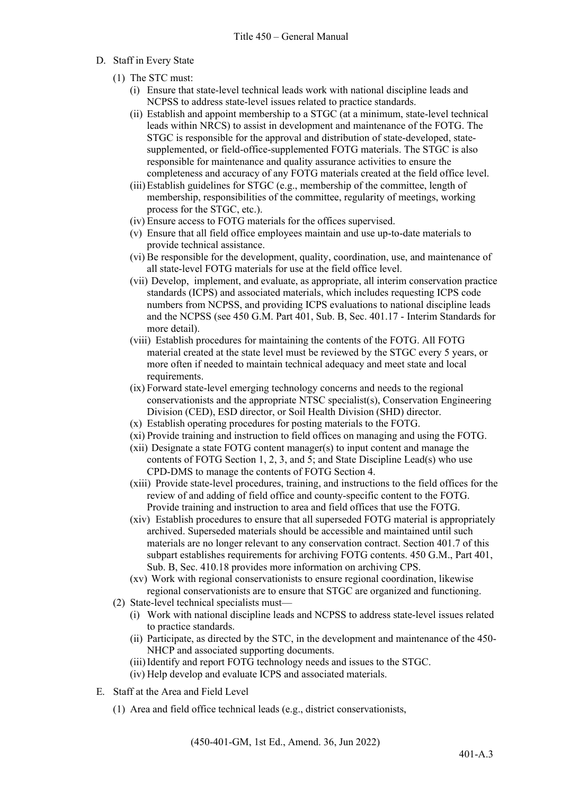- D. Staff in Every State
	- (1) The STC must:
		- (i) Ensure that state-level technical leads work with national discipline leads and NCPSS to address state-level issues related to practice standards.
		- (ii) Establish and appoint membership to a STGC (at a minimum, state-level technical leads within NRCS) to assist in development and maintenance of the FOTG. The STGC is responsible for the approval and distribution of state-developed, statesupplemented, or field-office-supplemented FOTG materials. The STGC is also responsible for maintenance and quality assurance activities to ensure the completeness and accuracy of any FOTG materials created at the field office level.
		- (iii)Establish guidelines for STGC (e.g., membership of the committee, length of membership, responsibilities of the committee, regularity of meetings, working process for the STGC, etc.).
		- (iv) Ensure access to FOTG materials for the offices supervised.
		- (v) Ensure that all field office employees maintain and use up-to-date materials to provide technical assistance.
		- (vi) Be responsible for the development, quality, coordination, use, and maintenance of all state-level FOTG materials for use at the field office level.
		- (vii) Develop, implement, and evaluate, as appropriate, all interim conservation practice standards (ICPS) and associated materials, which includes requesting ICPS code numbers from NCPSS, and providing ICPS evaluations to national discipline leads and the NCPSS (see 450 G.M. Part 401, Sub. B, Sec. 401.17 - Interim Standards for more detail).
		- (viii) Establish procedures for maintaining the contents of the FOTG. All FOTG material created at the state level must be reviewed by the STGC every 5 years, or more often if needed to maintain technical adequacy and meet state and local requirements.
		- (ix) Forward state-level emerging technology concerns and needs to the regional conservationists and the appropriate NTSC specialist(s), Conservation Engineering Division (CED), ESD director, or Soil Health Division (SHD) director.
		- (x) Establish operating procedures for posting materials to the FOTG.
		- (xi) Provide training and instruction to field offices on managing and using the FOTG.
		- (xii) Designate a state FOTG content manager(s) to input content and manage the contents of FOTG Section 1, 2, 3, and 5; and State Discipline Lead(s) who use CPD-DMS to manage the contents of FOTG Section 4.
		- (xiii) Provide state-level procedures, training, and instructions to the field offices for the review of and adding of field office and county-specific content to the FOTG. Provide training and instruction to area and field offices that use the FOTG.
		- (xiv) Establish procedures to ensure that all superseded FOTG material is appropriately archived. Superseded materials should be accessible and maintained until such materials are no longer relevant to any conservation contract. Section 401.7 of this subpart establishes requirements for archiving FOTG contents. 450 G.M., Part 401, Sub. B, Sec. 410.18 provides more information on archiving CPS.
		- (xv) Work with regional conservationists to ensure regional coordination, likewise regional conservationists are to ensure that STGC are organized and functioning.
	- (2) State-level technical specialists must—
		- (i) Work with national discipline leads and NCPSS to address state-level issues related to practice standards.
		- (ii) Participate, as directed by the STC, in the development and maintenance of the 450- NHCP and associated supporting documents.
		- (iii)Identify and report FOTG technology needs and issues to the STGC.
		- (iv) Help develop and evaluate ICPS and associated materials.
- E. Staff at the Area and Field Level
	- (1) Area and field office technical leads (e.g., district conservationists,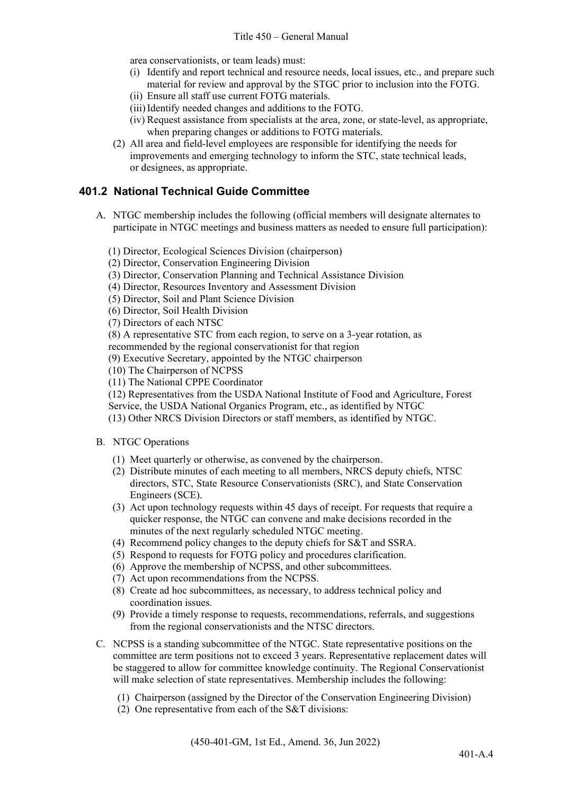area conservationists, or team leads) must:

- (i) Identify and report technical and resource needs, local issues, etc., and prepare such material for review and approval by the STGC prior to inclusion into the FOTG.
- (ii) Ensure all staff use current FOTG materials.
- (iii)Identify needed changes and additions to the FOTG.
- (iv) Request assistance from specialists at the area, zone, or state-level, as appropriate, when preparing changes or additions to FOTG materials.
- (2) All area and field-level employees are responsible for identifying the needs for improvements and emerging technology to inform the STC, state technical leads, or designees, as appropriate.

### **401.2 National Technical Guide Committee**

- A. NTGC membership includes the following (official members will designate alternates to participate in NTGC meetings and business matters as needed to ensure full participation):
	- (1) Director, Ecological Sciences Division (chairperson)

(2) Director, Conservation Engineering Division

- (3) Director, Conservation Planning and Technical Assistance Division
- (4) Director, Resources Inventory and Assessment Division
- (5) Director, Soil and Plant Science Division
- (6) Director, Soil Health Division

(7) Directors of each NTSC

(8) A representative STC from each region, to serve on a 3-year rotation, as

- recommended by the regional conservationist for that region
- (9) Executive Secretary, appointed by the NTGC chairperson
- (10) The Chairperson of NCPSS
- (11) The National CPPE Coordinator

(12) Representatives from the USDA National Institute of Food and Agriculture, Forest

- Service, the USDA National Organics Program, etc., as identified by NTGC
- (13) Other NRCS Division Directors or staff members, as identified by NTGC.
- B. NTGC Operations
	- (1) Meet quarterly or otherwise, as convened by the chairperson.
	- (2) Distribute minutes of each meeting to all members, NRCS deputy chiefs, NTSC directors, STC, State Resource Conservationists (SRC), and State Conservation Engineers (SCE).
	- (3) Act upon technology requests within 45 days of receipt. For requests that require a quicker response, the NTGC can convene and make decisions recorded in the minutes of the next regularly scheduled NTGC meeting.
	- (4) Recommend policy changes to the deputy chiefs for S&T and SSRA.
	- (5) Respond to requests for FOTG policy and procedures clarification.
	- (6) Approve the membership of NCPSS, and other subcommittees.
	- (7) Act upon recommendations from the NCPSS.
	- (8) Create ad hoc subcommittees, as necessary, to address technical policy and coordination issues.
	- (9) Provide a timely response to requests, recommendations, referrals, and suggestions from the regional conservationists and the NTSC directors.
- C. NCPSS is a standing subcommittee of the NTGC. State representative positions on the committee are term positions not to exceed 3 years. Representative replacement dates will be staggered to allow for committee knowledge continuity. The Regional Conservationist will make selection of state representatives. Membership includes the following:
	- (1) Chairperson (assigned by the Director of the Conservation Engineering Division)
	- (2) One representative from each of the S&T divisions: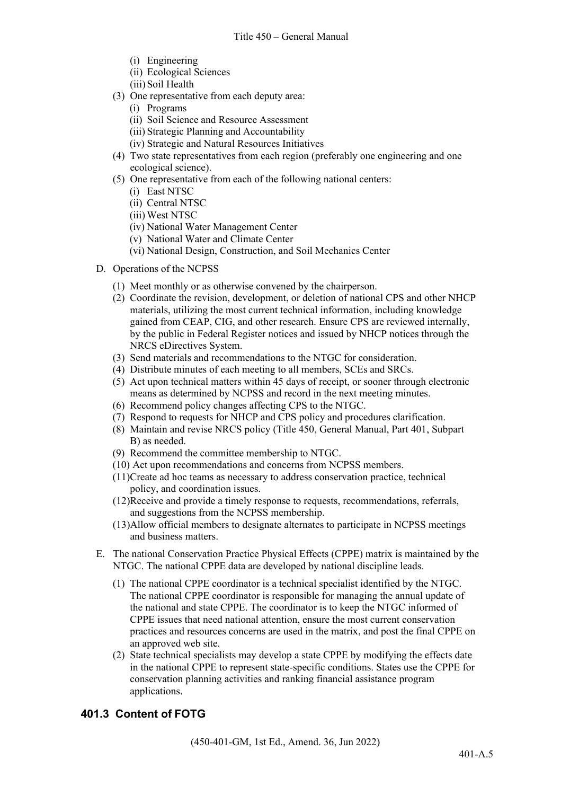- (i) Engineering
- (ii) Ecological Sciences
- (iii) Soil Health
- (3) One representative from each deputy area:
	- (i) Programs
	- (ii) Soil Science and Resource Assessment
	- (iii) Strategic Planning and Accountability
	- (iv) Strategic and Natural Resources Initiatives
- (4) Two state representatives from each region (preferably one engineering and one ecological science).
- (5) One representative from each of the following national centers:
	- (i) East NTSC
	- (ii) Central NTSC
	- (iii) West NTSC
	- (iv) National Water Management Center
	- (v) National Water and Climate Center
	- (vi) National Design, Construction, and Soil Mechanics Center
- D. Operations of the NCPSS
	- (1) Meet monthly or as otherwise convened by the chairperson.
	- (2) Coordinate the revision, development, or deletion of national CPS and other NHCP materials, utilizing the most current technical information, including knowledge gained from CEAP, CIG, and other research. Ensure CPS are reviewed internally, by the public in Federal Register notices and issued by NHCP notices through the NRCS eDirectives System.
	- (3) Send materials and recommendations to the NTGC for consideration.
	- (4) Distribute minutes of each meeting to all members, SCEs and SRCs.
	- (5) Act upon technical matters within 45 days of receipt, or sooner through electronic means as determined by NCPSS and record in the next meeting minutes.
	- (6) Recommend policy changes affecting CPS to the NTGC.
	- (7) Respond to requests for NHCP and CPS policy and procedures clarification.
	- (8) Maintain and revise NRCS policy (Title 450, General Manual, Part 401, Subpart B) as needed.
	- (9) Recommend the committee membership to NTGC.
	- (10) Act upon recommendations and concerns from NCPSS members.
	- (11)Create ad hoc teams as necessary to address conservation practice, technical policy, and coordination issues.
	- (12)Receive and provide a timely response to requests, recommendations, referrals, and suggestions from the NCPSS membership.
	- (13)Allow official members to designate alternates to participate in NCPSS meetings and business matters.
- E. The national Conservation Practice Physical Effects (CPPE) matrix is maintained by the NTGC. The national CPPE data are developed by national discipline leads.
	- (1) The national CPPE coordinator is a technical specialist identified by the NTGC. The national CPPE coordinator is responsible for managing the annual update of the national and state CPPE. The coordinator is to keep the NTGC informed of CPPE issues that need national attention, ensure the most current conservation practices and resources concerns are used in the matrix, and post the final CPPE on an approved web site.
	- (2) State technical specialists may develop a state CPPE by modifying the effects date in the national CPPE to represent state-specific conditions. States use the CPPE for conservation planning activities and ranking financial assistance program applications.

# **401.3 Content of FOTG**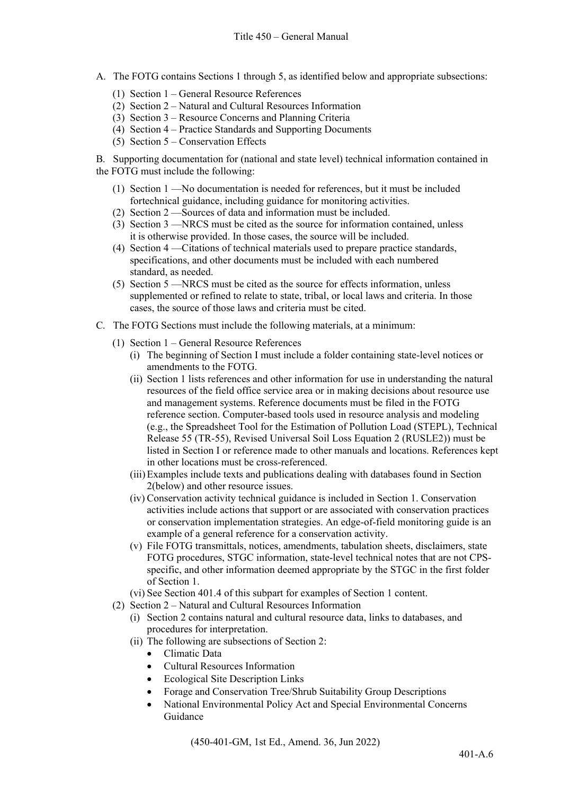- A. The FOTG contains Sections 1 through 5, as identified below and appropriate subsections:
	- (1) Section 1 General Resource References
	- (2) Section 2 Natural and Cultural Resources Information
	- (3) Section 3 Resource Concerns and Planning Criteria
	- (4) Section 4 Practice Standards and Supporting Documents
	- (5) Section  $5$  Conservation Effects

B. Supporting documentation for (national and state level) technical information contained in the FOTG must include the following:

- (1) Section 1 —No documentation is needed for references, but it must be included fortechnical guidance, including guidance for monitoring activities.
- (2) Section 2 —Sources of data and information must be included.
- (3) Section 3 —NRCS must be cited as the source for information contained, unless it is otherwise provided. In those cases, the source will be included.
- (4) Section 4 —Citations of technical materials used to prepare practice standards, specifications, and other documents must be included with each numbered standard, as needed.
- (5) Section 5 —NRCS must be cited as the source for effects information, unless supplemented or refined to relate to state, tribal, or local laws and criteria. In those cases, the source of those laws and criteria must be cited.
- C. The FOTG Sections must include the following materials, at a minimum:
	- (1) Section 1 General Resource References
		- (i) The beginning of Section I must include a folder containing state-level notices or amendments to the FOTG.
		- (ii) Section 1 lists references and other information for use in understanding the natural resources of the field office service area or in making decisions about resource use and management systems. Reference documents must be filed in the FOTG reference section. Computer-based tools used in resource analysis and modeling (e.g., the Spreadsheet Tool for the Estimation of Pollution Load (STEPL), Technical Release 55 (TR-55), Revised Universal Soil Loss Equation 2 (RUSLE2)) must be listed in Section I or reference made to other manuals and locations. References kept in other locations must be cross-referenced.
		- (iii)Examples include texts and publications dealing with databases found in Section 2(below) and other resource issues.
		- (iv) Conservation activity technical guidance is included in Section 1. Conservation activities include actions that support or are associated with conservation practices or conservation implementation strategies. An edge-of-field monitoring guide is an example of a general reference for a conservation activity.
		- (v) File FOTG transmittals, notices, amendments, tabulation sheets, disclaimers, state FOTG procedures, STGC information, state-level technical notes that are not CPSspecific, and other information deemed appropriate by the STGC in the first folder of Section 1.
		- (vi) See Section 401.4 of this subpart for examples of Section 1 content.
	- (2) Section 2 Natural and Cultural Resources Information
		- (i) Section 2 contains natural and cultural resource data, links to databases, and procedures for interpretation.
		- (ii) The following are subsections of Section 2:
			- Climatic Data
			- Cultural Resources Information
			- Ecological Site Description Links
			- Forage and Conservation Tree/Shrub Suitability Group Descriptions
			- National Environmental Policy Act and Special Environmental Concerns Guidance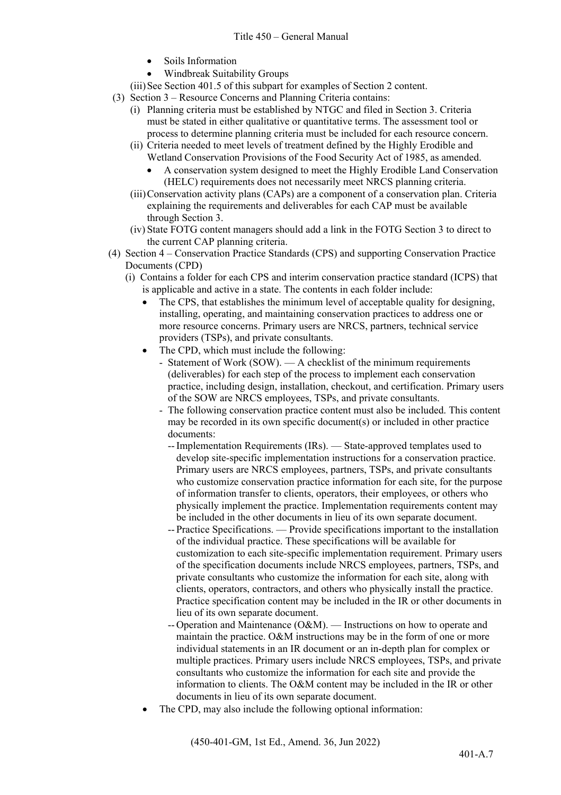- Soils Information
- Windbreak Suitability Groups

(iii)See Section 401.5 of this subpart for examples of Section 2 content.

- (3) Section 3 Resource Concerns and Planning Criteria contains:
	- (i) Planning criteria must be established by NTGC and filed in Section 3. Criteria must be stated in either qualitative or quantitative terms. The assessment tool or process to determine planning criteria must be included for each resource concern.
	- (ii) Criteria needed to meet levels of treatment defined by the Highly Erodible and Wetland Conservation Provisions of the Food Security Act of 1985, as amended.
		- A conservation system designed to meet the Highly Erodible Land Conservation (HELC) requirements does not necessarily meet NRCS planning criteria.
	- (iii)Conservation activity plans (CAPs) are a component of a conservation plan. Criteria explaining the requirements and deliverables for each CAP must be available through Section 3.
	- (iv) State FOTG content managers should add a link in the FOTG Section 3 to direct to the current CAP planning criteria.
- (4) Section 4 Conservation Practice Standards (CPS) and supporting Conservation Practice Documents (CPD)
	- (i) Contains a folder for each CPS and interim conservation practice standard (ICPS) that is applicable and active in a state. The contents in each folder include:
		- The CPS, that establishes the minimum level of acceptable quality for designing. installing, operating, and maintaining conservation practices to address one or more resource concerns. Primary users are NRCS, partners, technical service providers (TSPs), and private consultants.
		- The CPD, which must include the following:
			- Statement of Work (SOW). A checklist of the minimum requirements (deliverables) for each step of the process to implement each conservation practice, including design, installation, checkout, and certification. Primary users of the SOW are NRCS employees, TSPs, and private consultants.
			- The following conservation practice content must also be included. This content may be recorded in its own specific document(s) or included in other practice documents:
				- --Implementation Requirements (IRs). State-approved templates used to develop site-specific implementation instructions for a conservation practice. Primary users are NRCS employees, partners, TSPs, and private consultants who customize conservation practice information for each site, for the purpose of information transfer to clients, operators, their employees, or others who physically implement the practice. Implementation requirements content may be included in the other documents in lieu of its own separate document.
				- -- Practice Specifications. Provide specifications important to the installation of the individual practice. These specifications will be available for customization to each site-specific implementation requirement. Primary users of the specification documents include NRCS employees, partners, TSPs, and private consultants who customize the information for each site, along with clients, operators, contractors, and others who physically install the practice. Practice specification content may be included in the IR or other documents in lieu of its own separate document.
				- -- Operation and Maintenance (O&M). Instructions on how to operate and maintain the practice. O&M instructions may be in the form of one or more individual statements in an IR document or an in-depth plan for complex or multiple practices. Primary users include NRCS employees, TSPs, and private consultants who customize the information for each site and provide the information to clients. The O&M content may be included in the IR or other documents in lieu of its own separate document.
		- The CPD, may also include the following optional information: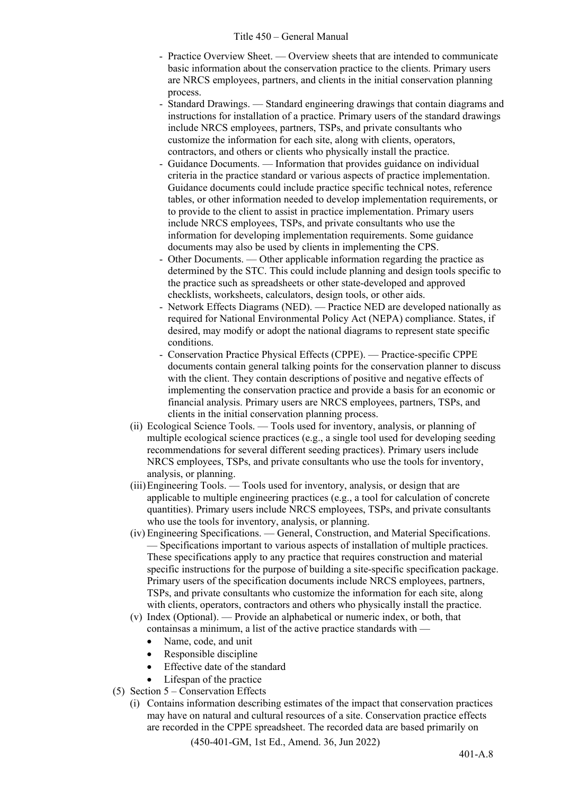- Practice Overview Sheet. Overview sheets that are intended to communicate basic information about the conservation practice to the clients. Primary users are NRCS employees, partners, and clients in the initial conservation planning process.
- Standard Drawings. Standard engineering drawings that contain diagrams and instructions for installation of a practice. Primary users of the standard drawings include NRCS employees, partners, TSPs, and private consultants who customize the information for each site, along with clients, operators, contractors, and others or clients who physically install the practice.
- Guidance Documents. Information that provides guidance on individual criteria in the practice standard or various aspects of practice implementation. Guidance documents could include practice specific technical notes, reference tables, or other information needed to develop implementation requirements, or to provide to the client to assist in practice implementation. Primary users include NRCS employees, TSPs, and private consultants who use the information for developing implementation requirements. Some guidance documents may also be used by clients in implementing the CPS.
- Other Documents. Other applicable information regarding the practice as determined by the STC. This could include planning and design tools specific to the practice such as spreadsheets or other state-developed and approved checklists, worksheets, calculators, design tools, or other aids.
- Network Effects Diagrams (NED). Practice NED are developed nationally as required for National Environmental Policy Act (NEPA) compliance. States, if desired, may modify or adopt the national diagrams to represent state specific conditions.
- Conservation Practice Physical Effects (CPPE). Practice-specific CPPE documents contain general talking points for the conservation planner to discuss with the client. They contain descriptions of positive and negative effects of implementing the conservation practice and provide a basis for an economic or financial analysis. Primary users are NRCS employees, partners, TSPs, and clients in the initial conservation planning process.
- (ii) Ecological Science Tools. Tools used for inventory, analysis, or planning of multiple ecological science practices (e.g., a single tool used for developing seeding recommendations for several different seeding practices). Primary users include NRCS employees, TSPs, and private consultants who use the tools for inventory, analysis, or planning.
- (iii)Engineering Tools. Tools used for inventory, analysis, or design that are applicable to multiple engineering practices (e.g., a tool for calculation of concrete quantities). Primary users include NRCS employees, TSPs, and private consultants who use the tools for inventory, analysis, or planning.
- (iv) Engineering Specifications. General, Construction, and Material Specifications. — Specifications important to various aspects of installation of multiple practices. These specifications apply to any practice that requires construction and material specific instructions for the purpose of building a site-specific specification package. Primary users of the specification documents include NRCS employees, partners, TSPs, and private consultants who customize the information for each site, along with clients, operators, contractors and others who physically install the practice.
- (v) Index (Optional). Provide an alphabetical or numeric index, or both, that containsas a minimum, a list of the active practice standards with —
	- Name, code, and unit
	- Responsible discipline
	- Effective date of the standard
	- Lifespan of the practice
- (5) Section  $5 -$ Conservation Effects
	- (i) Contains information describing estimates of the impact that conservation practices may have on natural and cultural resources of a site. Conservation practice effects are recorded in the CPPE spreadsheet. The recorded data are based primarily on

(450-401-GM, 1st Ed., Amend. 36, Jun 2022)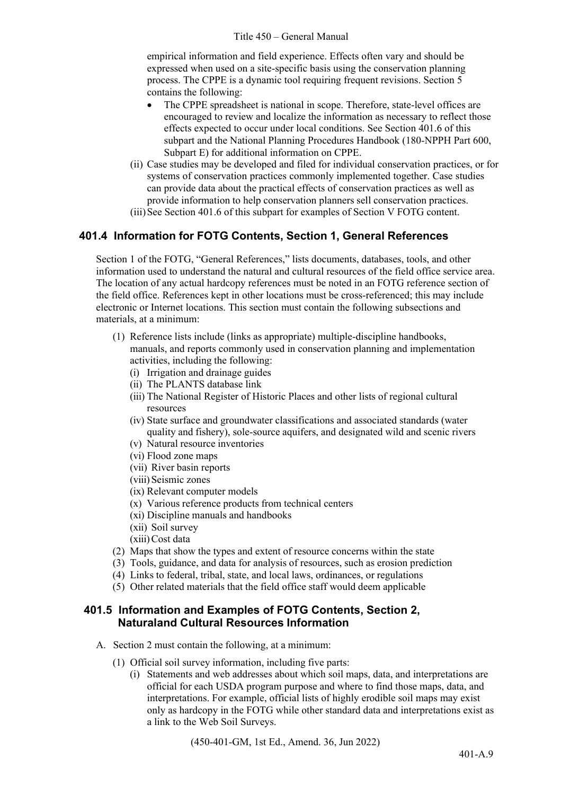#### Title 450 – General Manual

empirical information and field experience. Effects often vary and should be expressed when used on a site-specific basis using the conservation planning process. The CPPE is a dynamic tool requiring frequent revisions. Section 5 contains the following:

- The CPPE spreadsheet is national in scope. Therefore, state-level offices are encouraged to review and localize the information as necessary to reflect those effects expected to occur under local conditions. See Section 401.6 of this subpart and the National Planning Procedures Handbook (180-NPPH Part 600, Subpart E) for additional information on CPPE.
- (ii) Case studies may be developed and filed for individual conservation practices, or for systems of conservation practices commonly implemented together. Case studies can provide data about the practical effects of conservation practices as well as provide information to help conservation planners sell conservation practices.
- (iii)See Section 401.6 of this subpart for examples of Section V FOTG content.

# **401.4 Information for FOTG Contents, Section 1, General References**

Section 1 of the FOTG, "General References," lists documents, databases, tools, and other information used to understand the natural and cultural resources of the field office service area. The location of any actual hardcopy references must be noted in an FOTG reference section of the field office. References kept in other locations must be cross-referenced; this may include electronic or Internet locations. This section must contain the following subsections and materials, at a minimum:

- (1) Reference lists include (links as appropriate) multiple-discipline handbooks, manuals, and reports commonly used in conservation planning and implementation activities, including the following:
	- (i) Irrigation and drainage guides
	- (ii) The PLANTS database link
	- (iii) The National Register of Historic Places and other lists of regional cultural resources
	- (iv) State surface and groundwater classifications and associated standards (water quality and fishery), sole-source aquifers, and designated wild and scenic rivers
	- (v) Natural resource inventories
	- (vi) Flood zone maps
	- (vii) River basin reports
	- (viii) Seismic zones
	- (ix) Relevant computer models
	- (x) Various reference products from technical centers
	- (xi) Discipline manuals and handbooks
	- (xii) Soil survey
	- (xiii)Cost data
- (2) Maps that show the types and extent of resource concerns within the state
- (3) Tools, guidance, and data for analysis of resources, such as erosion prediction
- (4) Links to federal, tribal, state, and local laws, ordinances, or regulations
- (5) Other related materials that the field office staff would deem applicable

### **401.5 Information and Examples of FOTG Contents, Section 2, Naturaland Cultural Resources Information**

- A. Section 2 must contain the following, at a minimum:
	- (1) Official soil survey information, including five parts:
		- (i) Statements and web addresses about which soil maps, data, and interpretations are official for each USDA program purpose and where to find those maps, data, and interpretations. For example, official lists of highly erodible soil maps may exist only as hardcopy in the FOTG while other standard data and interpretations exist as a link to the Web Soil Surveys.

(450-401-GM, 1st Ed., Amend. 36, Jun 2022)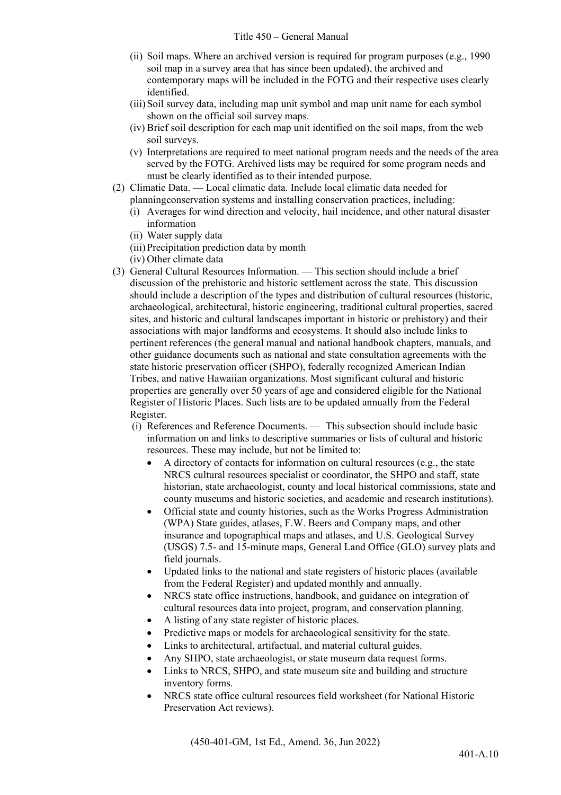- (ii) Soil maps. Where an archived version is required for program purposes (e.g., 1990 soil map in a survey area that has since been updated), the archived and contemporary maps will be included in the FOTG and their respective uses clearly identified.
- (iii)Soil survey data, including map unit symbol and map unit name for each symbol shown on the official soil survey maps.
- (iv) Brief soil description for each map unit identified on the soil maps, from the web soil surveys.
- (v) Interpretations are required to meet national program needs and the needs of the area served by the FOTG. Archived lists may be required for some program needs and must be clearly identified as to their intended purpose.
- (2) Climatic Data. Local climatic data. Include local climatic data needed for planningconservation systems and installing conservation practices, including:
	- (i) Averages for wind direction and velocity, hail incidence, and other natural disaster information
	- (ii) Water supply data
	- (iii)Precipitation prediction data by month
	- (iv) Other climate data
- (3) General Cultural Resources Information. This section should include a brief discussion of the prehistoric and historic settlement across the state. This discussion should include a description of the types and distribution of cultural resources (historic, archaeological, architectural, historic engineering, traditional cultural properties, sacred sites, and historic and cultural landscapes important in historic or prehistory) and their associations with major landforms and ecosystems. It should also include links to pertinent references (the general manual and national handbook chapters, manuals, and other guidance documents such as national and state consultation agreements with the state historic preservation officer (SHPO), federally recognized American Indian Tribes, and native Hawaiian organizations. Most significant cultural and historic properties are generally over 50 years of age and considered eligible for the National Register of Historic Places. Such lists are to be updated annually from the Federal Register.
	- (i) References and Reference Documents. This subsection should include basic information on and links to descriptive summaries or lists of cultural and historic resources. These may include, but not be limited to:
		- A directory of contacts for information on cultural resources (e.g., the state NRCS cultural resources specialist or coordinator, the SHPO and staff, state historian, state archaeologist, county and local historical commissions, state and county museums and historic societies, and academic and research institutions).
		- Official state and county histories, such as the Works Progress Administration (WPA) State guides, atlases, F.W. Beers and Company maps, and other insurance and topographical maps and atlases, and U.S. Geological Survey (USGS) 7.5- and 15-minute maps, General Land Office (GLO) survey plats and field journals.
		- Updated links to the national and state registers of historic places (available from the Federal Register) and updated monthly and annually.
		- NRCS state office instructions, handbook, and guidance on integration of cultural resources data into project, program, and conservation planning.
		- A listing of any state register of historic places.
		- Predictive maps or models for archaeological sensitivity for the state.
		- Links to architectural, artifactual, and material cultural guides.
		- Any SHPO, state archaeologist, or state museum data request forms.
		- Links to NRCS, SHPO, and state museum site and building and structure inventory forms.
		- NRCS state office cultural resources field worksheet (for National Historic Preservation Act reviews).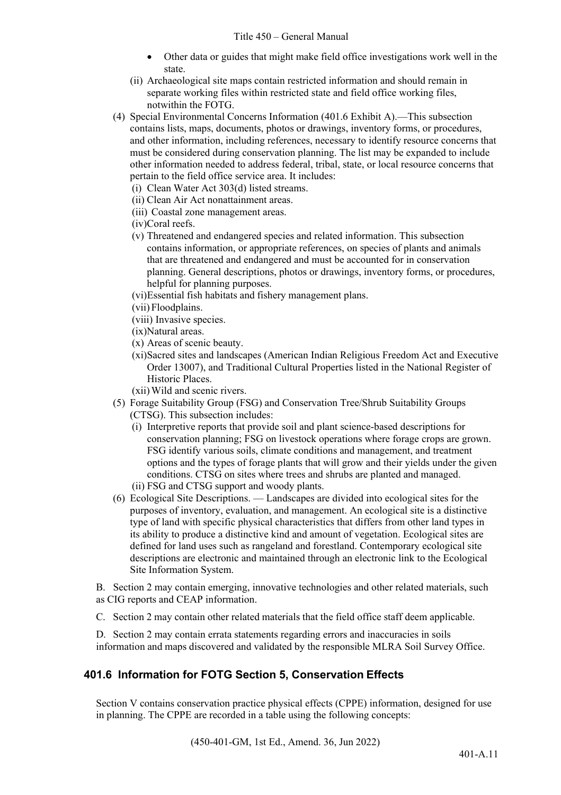- Other data or guides that might make field office investigations work well in the state.
- (ii) Archaeological site maps contain restricted information and should remain in separate working files within restricted state and field office working files, notwithin the FOTG.
- (4) Special Environmental Concerns Information (401.6 Exhibit A).—This subsection contains lists, maps, documents, photos or drawings, inventory forms, or procedures, and other information, including references, necessary to identify resource concerns that must be considered during conservation planning. The list may be expanded to include other information needed to address federal, tribal, state, or local resource concerns that pertain to the field office service area. It includes:
	- (i) Clean Water Act 303(d) listed streams.
	- (ii) Clean Air Act nonattainment areas.
	- (iii) Coastal zone management areas.
	- (iv)Coral reefs.
	- (v) Threatened and endangered species and related information. This subsection contains information, or appropriate references, on species of plants and animals that are threatened and endangered and must be accounted for in conservation planning. General descriptions, photos or drawings, inventory forms, or procedures, helpful for planning purposes.
	- (vi)Essential fish habitats and fishery management plans.
	- (vii) Floodplains.
	- (viii) Invasive species.
	- (ix)Natural areas.
	- (x) Areas of scenic beauty.
	- (xi)Sacred sites and landscapes (American Indian Religious Freedom Act and Executive Order 13007), and Traditional Cultural Properties listed in the National Register of Historic Places.
	- (xii)Wild and scenic rivers.
- (5) Forage Suitability Group (FSG) and Conservation Tree/Shrub Suitability Groups (CTSG). This subsection includes:
	- (i) Interpretive reports that provide soil and plant science-based descriptions for conservation planning; FSG on livestock operations where forage crops are grown. FSG identify various soils, climate conditions and management, and treatment options and the types of forage plants that will grow and their yields under the given conditions. CTSG on sites where trees and shrubs are planted and managed. (ii) FSG and CTSG support and woody plants.
- (6) Ecological Site Descriptions. Landscapes are divided into ecological sites for the purposes of inventory, evaluation, and management. An ecological site is a distinctive type of land with specific physical characteristics that differs from other land types in its ability to produce a distinctive kind and amount of vegetation. Ecological sites are defined for land uses such as rangeland and forestland. Contemporary ecological site descriptions are electronic and maintained through an electronic link to the Ecological Site Information System.

B. Section 2 may contain emerging, innovative technologies and other related materials, such as CIG reports and CEAP information.

C. Section 2 may contain other related materials that the field office staff deem applicable.

D. Section 2 may contain errata statements regarding errors and inaccuracies in soils information and maps discovered and validated by the responsible MLRA Soil Survey Office.

# **401.6 Information for FOTG Section 5, Conservation Effects**

Section V contains conservation practice physical effects (CPPE) information, designed for use in planning. The CPPE are recorded in a table using the following concepts: